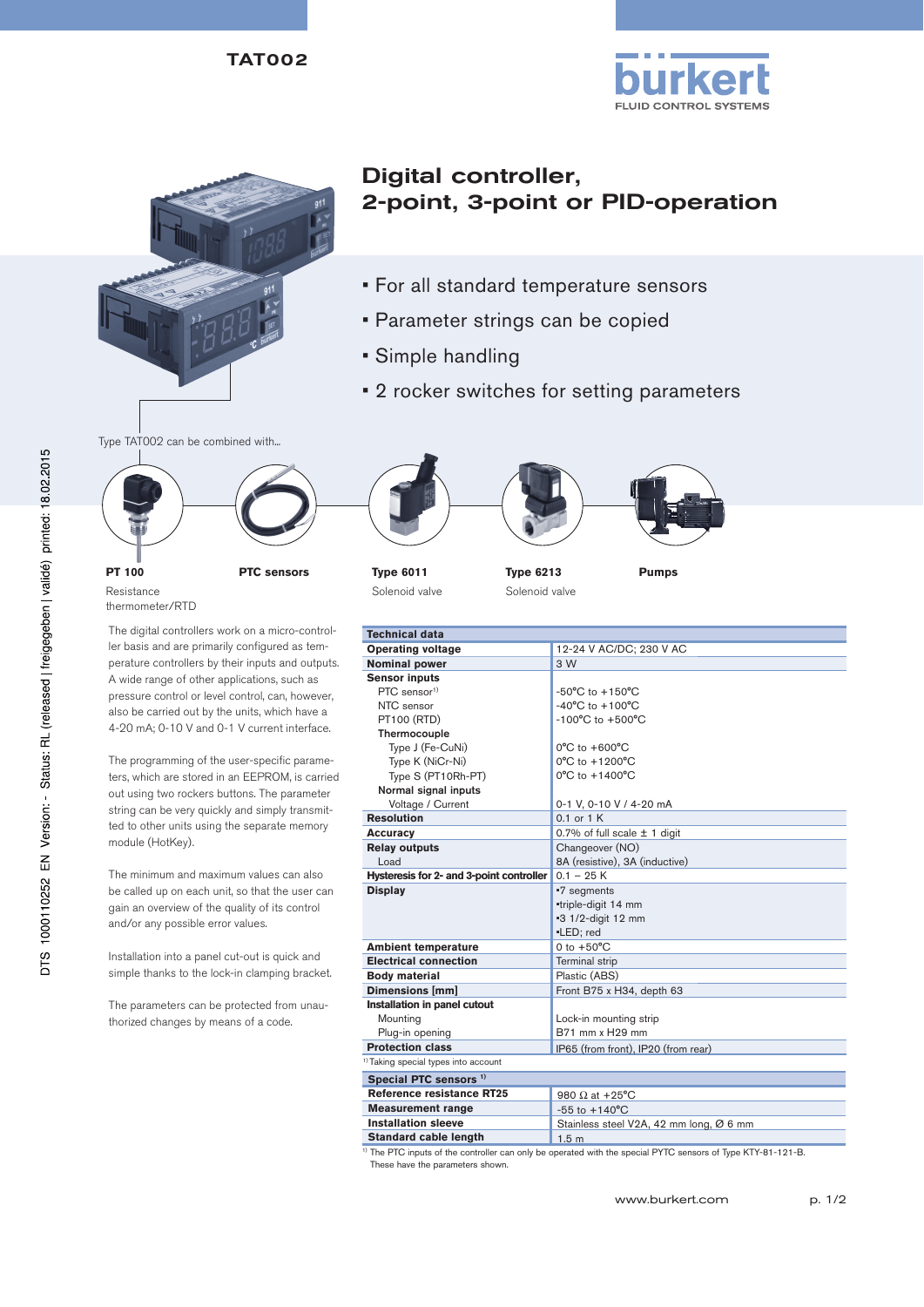TAT002





# Digital controller, 2-point, 3-point or PID-operation

- For all standard temperature sensors
- Parameter strings can be copied
- Simple handling
- 2 rocker switches for setting parameters

Type TAT002 can be combined with...





Solenoid valve

**Type 6213** Solenoid valve

**Pumps**

**Technical data Operating voltage** 12-24 V AC/DC; 230 V AC **Nominal power** 3 W **Sensor inputs** PTC sensor<sup>1)</sup> NTC sensor PT100 (RTD) Thermocouple Type J (Fe-CuNi) Type K (NiCr-Ni) Type S (PT10Rh-PT) Normal signal inputs Voltage / Current -50°C to +150°C -40°C to +100°C -100°C to +500°C 0°C to +600°C 0°C to +1200°C 0°C to +1400°C 0-1 V, 0-10 V / 4-20 mA **Resolution** 0.1 or 1 K **Accuracy** 0.7% of full scale  $\pm$  1 digit **Relay outputs** Load Changeover (NO) 8A (resistive), 3A (inductive) **Hysteresis for 2- and 3-point controller** 0.1 – 25 K<br>**Display** -7 segment **Display** •7 segments •triple-digit 14 mm •3 1/2-digit 12 mm •LED; red **Ambient temperature** 0 to +50°C **Electrical connection** Terminal strip **Body material** Plastic (ABS)<br>**Dimensions [mm]** Front B75 x H **Front B75 x H34, depth 63 Installation in panel cutout** Mounting Plug-in opening Lock-in mounting strip B71 mm x H29 mm **Protection class IP65** (from front), IP20 (from rear) <sup>1)</sup> Taking special types into account **Special PTC sensors 1) Reference resistance RT25** 980 Ω at +25°C **Measurement range** -55 to +140°C<br>**Installation sleeve** Stainless steel Stainless steel V2A, 42 mm long, Ø 6 mm **Standard cable length** 1.5 m

1) The PTC inputs of the controller can only be operated with the special PYTC sensors of Type KTY-81-121-B. These have the parameters shown.

**PT 100** Resistance thermometer/RTD

The digital controllers work on a micro-controller basis and are primarily configured as temperature controllers by their inputs and outputs. A wide range of other applications, such as pressure control or level control, can, however, also be carried out by the units, which have a 4-20 mA; 0-10 V and 0-1 V current interface.

The programming of the user-specific parameters, which are stored in an EEPROM, is carried out using two rockers buttons. The parameter string can be very quickly and simply transmitted to other units using the separate memory module (HotKey).

The minimum and maximum values can also be called up on each unit, so that the user can gain an overview of the quality of its control and/or any possible error values.

Installation into a panel cut-out is quick and simple thanks to the lock-in clamping bracket.

The parameters can be protected from unauthorized changes by means of a code.

DTS 1000110252 EN Version: - Status: RL (released | freigegeben | validé) printed: 18.02.2015